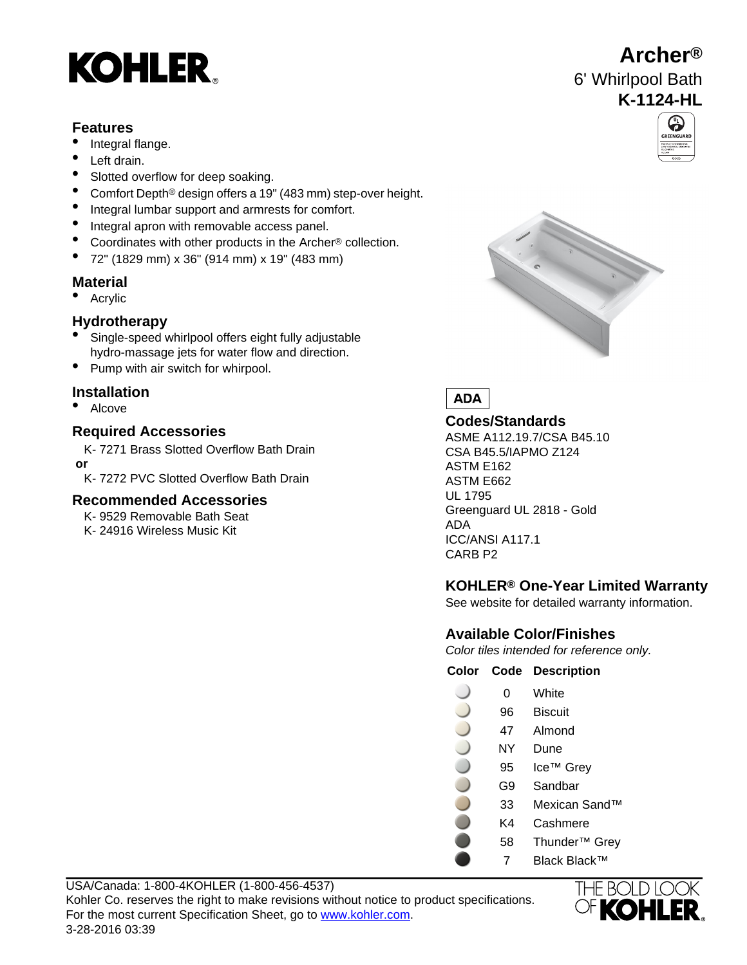# **KOHLER**

### **Features**

- Integral flange.
- Left drain.
- Slotted overflow for deep soaking.
- Comfort Depth® design offers a 19" (483 mm) step-over height.
- Integral lumbar support and armrests for comfort.
- Integral apron with removable access panel.
- Coordinates with other products in the Archer® collection.
- 72" (1829 mm) x 36" (914 mm) x 19" (483 mm)

### **Material**

• Acrylic

### **Hydrotherapy**

- Single-speed whirlpool offers eight fully adjustable hydro-massage jets for water flow and direction.
- Pump with air switch for whirpool.

### **Installation**

• Alcove

# **Codes/Standards Required Accessories**

K- 7271 Brass Slotted Overflow Bath Drain  **or**

K- 7272 PVC Slotted Overflow Bath Drain

### **Recommended Accessories**

- K- 9529 Removable Bath Seat
- ADA K- 24916 Wireless Music Kit ICC/ANSI A117.1



**Archer®**

6' Whirlpool Bath





ASME A112.19.7/CSA B45.10 CSA B45.5/IAPMO Z124 ASTM E162 ASTM E662 UL 1795 Greenguard UL 2818 - Gold CARB P2

### **KOHLER® One-Year Limited Warranty**

See website for detailed warranty information.

### **Available Color/Finishes**

Color tiles intended for reference only.

**Color Code Description**

| ი  | White                  |
|----|------------------------|
| 96 | <b>Biscuit</b>         |
| 47 | Almond                 |
| NΥ | Dune                   |
| 95 | Ice <sup>⊤м</sup> Grey |
| G9 | Sandbar                |
| 33 | Mexican Sand™          |
| K4 | Cashmere               |

- 58 Thunder™ Grey
- 7 Black Black™